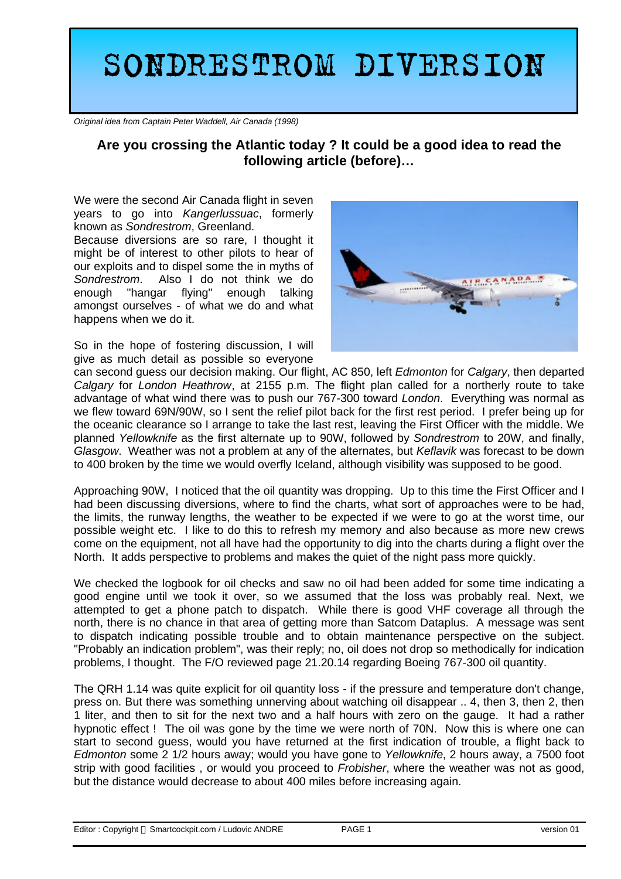## **SONDRESTROM DIVERSION**

*Original idea from Captain Peter Waddell, Air Canada (1998)*

## **Are you crossing the Atlantic today ? It could be a good idea to read the following article (before)…**

We were the second Air Canada flight in seven years to go into *Kangerlussuac*, formerly known as *Sondrestrom*, Greenland.

Because diversions are so rare, I thought it might be of interest to other pilots to hear of our exploits and to dispel some the in myths of *Sondrestrom*. Also I do not think we do enough "hangar flying" enough talking amongst ourselves - of what we do and what happens when we do it.

So in the hope of fostering discussion, I will give as much detail as possible so everyone



can second guess our decision making. Our flight, AC 850, left *Edmonton* for *Calgary*, then departed *Calgary* for *London Heathrow*, at 2155 p.m. The flight plan called for a northerly route to take advantage of what wind there was to push our 767-300 toward *London*. Everything was normal as we flew toward 69N/90W, so I sent the relief pilot back for the first rest period. I prefer being up for the oceanic clearance so I arrange to take the last rest, leaving the First Officer with the middle. We planned *Yellowknife* as the first alternate up to 90W, followed by *Sondrestrom* to 20W, and finally, *Glasgow*. Weather was not a problem at any of the alternates, but *Keflavik* was forecast to be down to 400 broken by the time we would overfly Iceland, although visibility was supposed to be good.

Approaching 90W, I noticed that the oil quantity was dropping. Up to this time the First Officer and I had been discussing diversions, where to find the charts, what sort of approaches were to be had, the limits, the runway lengths, the weather to be expected if we were to go at the worst time, our possible weight etc. I like to do this to refresh my memory and also because as more new crews come on the equipment, not all have had the opportunity to dig into the charts during a flight over the North. It adds perspective to problems and makes the quiet of the night pass more quickly.

We checked the logbook for oil checks and saw no oil had been added for some time indicating a good engine until we took it over, so we assumed that the loss was probably real. Next, we attempted to get a phone patch to dispatch. While there is good VHF coverage all through the north, there is no chance in that area of getting more than Satcom Dataplus. A message was sent to dispatch indicating possible trouble and to obtain maintenance perspective on the subject. "Probably an indication problem", was their reply; no, oil does not drop so methodically for indication problems, I thought. The F/O reviewed page 21.20.14 regarding Boeing 767-300 oil quantity.

The QRH 1.14 was quite explicit for oil quantity loss - if the pressure and temperature don't change, press on. But there was something unnerving about watching oil disappear .. 4, then 3, then 2, then 1 liter, and then to sit for the next two and a half hours with zero on the gauge. It had a rather hypnotic effect ! The oil was gone by the time we were north of 70N. Now this is where one can start to second guess, would you have returned at the first indication of trouble, a flight back to *Edmonton* some 2 1/2 hours away; would you have gone to *Yellowknife*, 2 hours away, a 7500 foot strip with good facilities , or would you proceed to *Frobisher*, where the weather was not as good, but the distance would decrease to about 400 miles before increasing again.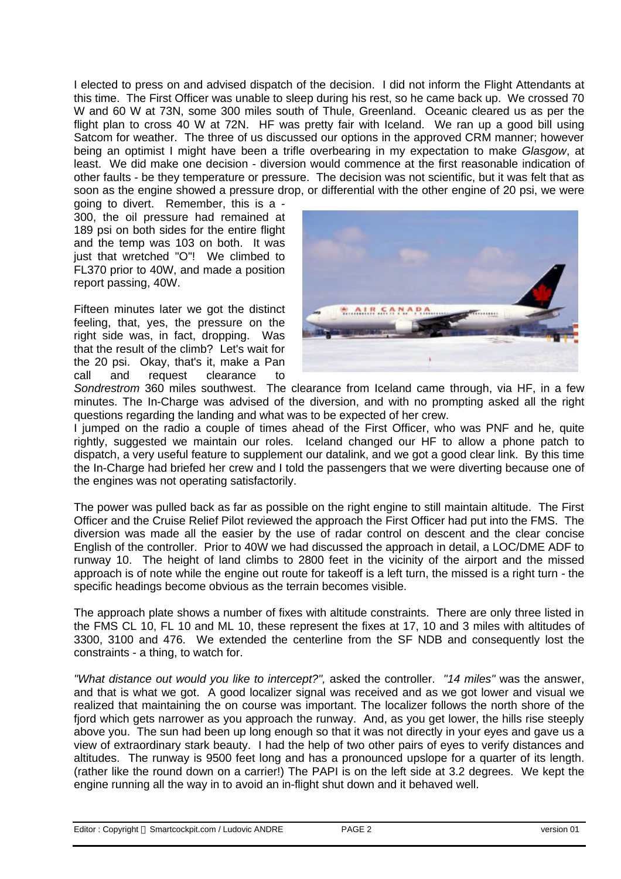I elected to press on and advised dispatch of the decision. I did not inform the Flight Attendants at this time. The First Officer was unable to sleep during his rest, so he came back up. We crossed 70 W and 60 W at 73N, some 300 miles south of Thule, Greenland. Oceanic cleared us as per the flight plan to cross 40 W at 72N. HF was pretty fair with Iceland. We ran up a good bill using Satcom for weather. The three of us discussed our options in the approved CRM manner; however being an optimist I might have been a trifle overbearing in my expectation to make *Glasgow*, at least. We did make one decision - diversion would commence at the first reasonable indication of other faults - be they temperature or pressure. The decision was not scientific, but it was felt that as soon as the engine showed a pressure drop, or differential with the other engine of 20 psi, we were

going to divert. Remember, this is a - 300, the oil pressure had remained at 189 psi on both sides for the entire flight and the temp was 103 on both. It was just that wretched "O"! We climbed to FL370 prior to 40W, and made a position report passing, 40W.

Fifteen minutes later we got the distinct feeling, that, yes, the pressure on the right side was, in fact, dropping. Was that the result of the climb? Let's wait for the 20 psi. Okay, that's it, make a Pan call and request clearance to



*Sondrestrom* 360 miles southwest. The clearance from Iceland came through, via HF, in a few minutes. The In-Charge was advised of the diversion, and with no prompting asked all the right questions regarding the landing and what was to be expected of her crew.

I jumped on the radio a couple of times ahead of the First Officer, who was PNF and he, quite rightly, suggested we maintain our roles. Iceland changed our HF to allow a phone patch to dispatch, a very useful feature to supplement our datalink, and we got a good clear link. By this time the In-Charge had briefed her crew and I told the passengers that we were diverting because one of the engines was not operating satisfactorily.

The power was pulled back as far as possible on the right engine to still maintain altitude. The First Officer and the Cruise Relief Pilot reviewed the approach the First Officer had put into the FMS. The diversion was made all the easier by the use of radar control on descent and the clear concise English of the controller. Prior to 40W we had discussed the approach in detail, a LOC/DME ADF to runway 10. The height of land climbs to 2800 feet in the vicinity of the airport and the missed approach is of note while the engine out route for takeoff is a left turn, the missed is a right turn - the specific headings become obvious as the terrain becomes visible.

The approach plate shows a number of fixes with altitude constraints. There are only three listed in the FMS CL 10, FL 10 and ML 10, these represent the fixes at 17, 10 and 3 miles with altitudes of 3300, 3100 and 476. We extended the centerline from the SF NDB and consequently lost the constraints - a thing, to watch for.

*"What distance out would you like to intercept?",* asked the controller. *"14 miles"* was the answer, and that is what we got. A good localizer signal was received and as we got lower and visual we realized that maintaining the on course was important. The localizer follows the north shore of the fjord which gets narrower as you approach the runway. And, as you get lower, the hills rise steeply above you. The sun had been up long enough so that it was not directly in your eyes and gave us a view of extraordinary stark beauty. I had the help of two other pairs of eyes to verify distances and altitudes. The runway is 9500 feet long and has a pronounced upslope for a quarter of its length. (rather like the round down on a carrier!) The PAPI is on the left side at 3.2 degrees. We kept the engine running all the way in to avoid an in-flight shut down and it behaved well.